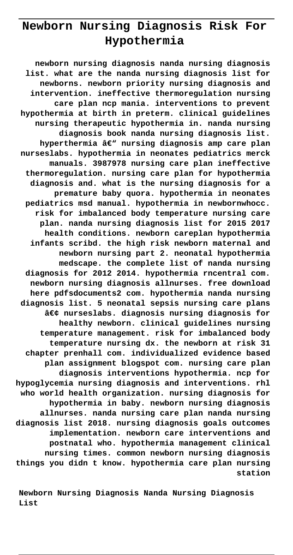# **Newborn Nursing Diagnosis Risk For Hypothermia**

**newborn nursing diagnosis nanda nursing diagnosis list. what are the nanda nursing diagnosis list for newborns. newborn priority nursing diagnosis and intervention. ineffective thermoregulation nursing care plan ncp mania. interventions to prevent hypothermia at birth in preterm. clinical guidelines nursing therapeutic hypothermia in. nanda nursing diagnosis book nanda nursing diagnosis list.** hyperthermia â€<sup>w</sup> nursing diagnosis amp care plan **nurseslabs. hypothermia in neonates pediatrics merck manuals. 3987978 nursing care plan ineffective thermoregulation. nursing care plan for hypothermia diagnosis and. what is the nursing diagnosis for a premature baby quora. hypothermia in neonates pediatrics msd manual. hypothermia in newbornwhocc. risk for imbalanced body temperature nursing care plan. nanda nursing diagnosis list for 2015 2017 health conditions. newborn careplan hypothermia infants scribd. the high risk newborn maternal and newborn nursing part 2. neonatal hypothermia medscape. the complete list of nanda nursing diagnosis for 2012 2014. hypothermia rncentral com. newborn nursing diagnosis allnurses. free download here pdfsdocuments2 com. hypothermia nanda nursing diagnosis list. 5 neonatal sepsis nursing care plans • nurseslabs. diagnosis nursing diagnosis for healthy newborn. clinical guidelines nursing temperature management. risk for imbalanced body temperature nursing dx. the newborn at risk 31 chapter prenhall com. individualized evidence based plan assignment blogspot com. nursing care plan diagnosis interventions hypothermia. ncp for hypoglycemia nursing diagnosis and interventions. rhl who world health organization. nursing diagnosis for hypothermia in baby. newborn nursing diagnosis allnurses. nanda nursing care plan nanda nursing diagnosis list 2018. nursing diagnosis goals outcomes implementation. newborn care interventions and postnatal who. hypothermia management clinical nursing times. common newborn nursing diagnosis things you didn t know. hypothermia care plan nursing station**

**Newborn Nursing Diagnosis Nanda Nursing Diagnosis List**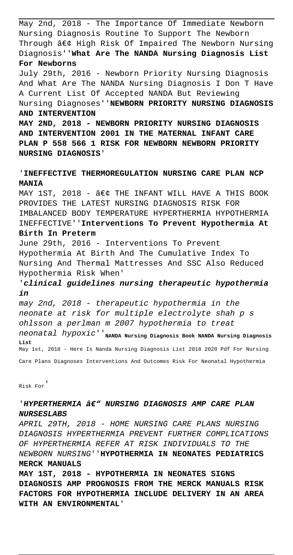May 2nd, 2018 - The Importance Of Immediate Newborn Nursing Diagnosis Routine To Support The Newborn Through  $\hat{a}\in\zeta$  High Risk Of Impaired The Newborn Nursing Diagnosis''**What Are The NANDA Nursing Diagnosis List For Newborns** July 29th, 2016 - Newborn Priority Nursing Diagnosis And What Are The NANDA Nursing Diagnosis I Don T Have A Current List Of Accepted NANDA But Reviewing Nursing Diagnoses''**NEWBORN PRIORITY NURSING DIAGNOSIS AND INTERVENTION MAY 2ND, 2018 - NEWBORN PRIORITY NURSING DIAGNOSIS AND INTERVENTION 2001 IN THE MATERNAL INFANT CARE PLAN P 558 566 1 RISK FOR NEWBORN NEWBORN PRIORITY NURSING DIAGNOSIS**' '**INEFFECTIVE THERMOREGULATION NURSING CARE PLAN NCP MANIA** MAY 1ST, 2018 -  $â$  $∈$  THE INFANT WILL HAVE A THIS BOOK PROVIDES THE LATEST NURSING DIAGNOSIS RISK FOR IMBALANCED BODY TEMPERATURE HYPERTHERMIA HYPOTHERMIA INEFFECTIVE''**Interventions To Prevent Hypothermia At Birth In Preterm** June 29th, 2016 - Interventions To Prevent Hypothermia At Birth And The Cumulative Index To Nursing And Thermal Mattresses And SSC Also Reduced Hypothermia Risk When' '**clinical guidelines nursing therapeutic hypothermia in** may 2nd, 2018 - therapeutic hypothermia in the neonate at risk for multiple electrolyte shah p s ohlsson a perlman m 2007 hypothermia to treat  $neonatal$   $hypoxic$ <sup>'</sup>'NANDA Nursing Diagnosis Book NANDA Nursing Diagnosis

May 1st, 2018 - Here Is Nanda Nursing Diagnosis List 2018 2020 Pdf For Nursing Care Plans Diagnoses Interventions And Outcomes Risk For Neonatal Hypothermia

Risk For'

**List**

## 'HYPERTHERMIA â€" NURSING DIAGNOSIS AMP CARE PLAN **NURSESLABS**

APRIL 29TH, 2018 - HOME NURSING CARE PLANS NURSING DIAGNOSIS HYPERTHERMIA PREVENT FURTHER COMPLICATIONS OF HYPERTHERMIA REFER AT RISK INDIVIDUALS TO THE NEWBORN NURSING''**HYPOTHERMIA IN NEONATES PEDIATRICS MERCK MANUALS**

**MAY 1ST, 2018 - HYPOTHERMIA IN NEONATES SIGNS DIAGNOSIS AMP PROGNOSIS FROM THE MERCK MANUALS RISK FACTORS FOR HYPOTHERMIA INCLUDE DELIVERY IN AN AREA WITH AN ENVIRONMENTAL**'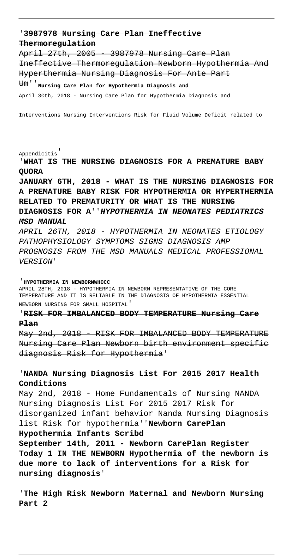### '**3987978 Nursing Care Plan Ineffective Thermoregulation**

April 27th, 2005 - 3987978 Nursing Care Plan Ineffective Thermoregulation Newborn Hypothermia And Hyperthermia Nursing Diagnosis For Ante Part

Um''**Nursing Care Plan for Hypothermia Diagnosis and** April 30th, 2018 - Nursing Care Plan for Hypothermia Diagnosis and

Interventions Nursing Interventions Risk for Fluid Volume Deficit related to

#### Appendicitis'

'**WHAT IS THE NURSING DIAGNOSIS FOR A PREMATURE BABY QUORA**

**JANUARY 6TH, 2018 - WHAT IS THE NURSING DIAGNOSIS FOR A PREMATURE BABY RISK FOR HYPOTHERMIA OR HYPERTHERMIA RELATED TO PREMATURITY OR WHAT IS THE NURSING DIAGNOSIS FOR A**''**HYPOTHERMIA IN NEONATES PEDIATRICS MSD MANUAL**

APRIL 26TH, 2018 - HYPOTHERMIA IN NEONATES ETIOLOGY PATHOPHYSIOLOGY SYMPTOMS SIGNS DIAGNOSIS AMP PROGNOSIS FROM THE MSD MANUALS MEDICAL PROFESSIONAL VERSION'

#### '**HYPOTHERMIA IN NEWBORNWHOCC**

APRIL 28TH, 2018 - HYPOTHERMIA IN NEWBORN REPRESENTATIVE OF THE CORE TEMPERATURE AND IT IS RELIABLE IN THE DIAGNOSIS OF HYPOTHERMIA ESSENTIAL NEWBORN NURSING FOR SMALL HOSPITAL'

### '**RISK FOR IMBALANCED BODY TEMPERATURE Nursing Care Plan**

May 2nd, 2018 - RISK FOR IMBALANCED BODY TEMPERATURE Nursing Care Plan Newborn birth environment specific diagnosis Risk for Hypothermia'

### '**NANDA Nursing Diagnosis List For 2015 2017 Health Conditions**

May 2nd, 2018 - Home Fundamentals of Nursing NANDA Nursing Diagnosis List For 2015 2017 Risk for disorganized infant behavior Nanda Nursing Diagnosis list Risk for hypothermia''**Newborn CarePlan Hypothermia Infants Scribd**

# **September 14th, 2011 - Newborn CarePlan Register Today 1 IN THE NEWBORN Hypothermia of the newborn is due more to lack of interventions for a Risk for nursing diagnosis**'

'**The High Risk Newborn Maternal and Newborn Nursing Part 2**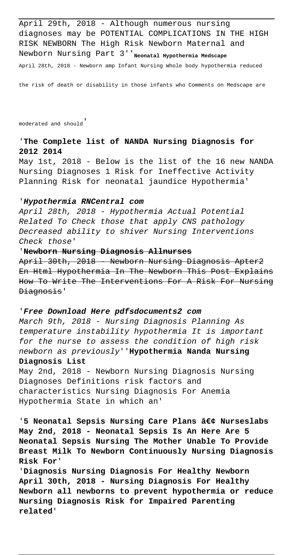April 29th, 2018 - Although numerous nursing diagnoses may be POTENTIAL COMPLICATIONS IN THE HIGH RISK NEWBORN The High Risk Newborn Maternal and Newborn Nursing Part 3'<sup>'</sup>Neonatal Hypothermia Medscape April 28th, 2018 - Newborn amp Infant Nursing Whole body hypothermia reduced

the risk of death or disability in those infants who Comments on Medscape are

moderated and should'

### '**The Complete list of NANDA Nursing Diagnosis for 2012 2014**

May 1st, 2018 - Below is the list of the 16 new NANDA Nursing Diagnoses 1 Risk for Ineffective Activity Planning Risk for neonatal jaundice Hypothermia'

#### '**Hypothermia RNCentral com**

April 28th, 2018 - Hypothermia Actual Potential Related To Check those that apply CNS pathology Decreased ability to shiver Nursing Interventions Check those'

#### '**Newborn Nursing Diagnosis Allnurses**

April 30th, 2018 - Newborn Nursing Diagnosis Apter2 En Html Hypothermia In The Newborn This Post Explains How To Write The Interventions For A Risk For Nursing Diagnosis'

#### '**Free Download Here pdfsdocuments2 com**

March 9th, 2018 - Nursing Diagnosis Planning As temperature instability hypothermia It is important for the nurse to assess the condition of high risk newborn as previously''**Hypothermia Nanda Nursing Diagnosis List**

May 2nd, 2018 - Newborn Nursing Diagnosis Nursing Diagnoses Definitions risk factors and characteristics Nursing Diagnosis For Anemia Hypothermia State in which an'

'5 Neonatal Sepsis Nursing Care Plans • Nurseslabs **May 2nd, 2018 - Neonatal Sepsis Is An Here Are 5 Neonatal Sepsis Nursing The Mother Unable To Provide Breast Milk To Newborn Continuously Nursing Diagnosis Risk For**'

'**Diagnosis Nursing Diagnosis For Healthy Newborn April 30th, 2018 - Nursing Diagnosis For Healthy Newborn all newborns to prevent hypothermia or reduce Nursing Diagnosis Risk for Impaired Parenting related**'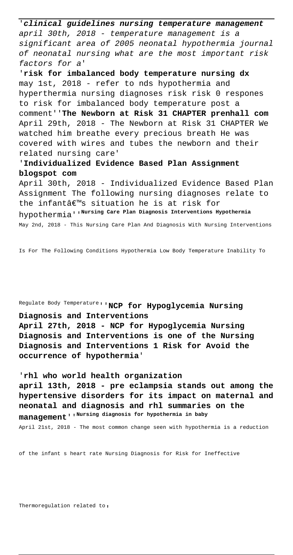'**clinical guidelines nursing temperature management** april 30th, 2018 - temperature management is a significant area of 2005 neonatal hypothermia journal of neonatal nursing what are the most important risk factors for a'

'**risk for imbalanced body temperature nursing dx** may 1st, 2018 - refer to nds hypothermia and hyperthermia nursing diagnoses risk risk 0 respones to risk for imbalanced body temperature post a comment''**The Newborn at Risk 31 CHAPTER prenhall com** April 29th, 2018 - The Newborn at Risk 31 CHAPTER We watched him breathe every precious breath He was covered with wires and tubes the newborn and their related nursing care'

'**Individualized Evidence Based Plan Assignment blogspot com**

April 30th, 2018 - Individualized Evidence Based Plan Assignment The following nursing diagnoses relate to the infant $\hat{a} \in \mathbb{M}$ s situation he is at risk for hypothermia''**Nursing Care Plan Diagnosis Interventions Hypothermia** May 2nd, 2018 - This Nursing Care Plan And Diagnosis With Nursing Interventions

Is For The Following Conditions Hypothermia Low Body Temperature Inability To

Regulate Body Temperature''**NCP for Hypoglycemia Nursing Diagnosis and Interventions**

**April 27th, 2018 - NCP for Hypoglycemia Nursing Diagnosis and Interventions is one of the Nursing Diagnosis and Interventions 1 Risk for Avoid the occurrence of hypothermia**'

'**rhl who world health organization april 13th, 2018 - pre eclampsia stands out among the hypertensive disorders for its impact on maternal and neonatal and diagnosis and rhl summaries on the management**''**Nursing diagnosis for hypothermia in baby** April 21st, 2018 - The most common change seen with hypothermia is a reduction

of the infant s heart rate Nursing Diagnosis for Risk for Ineffective

Thermoregulation related to,